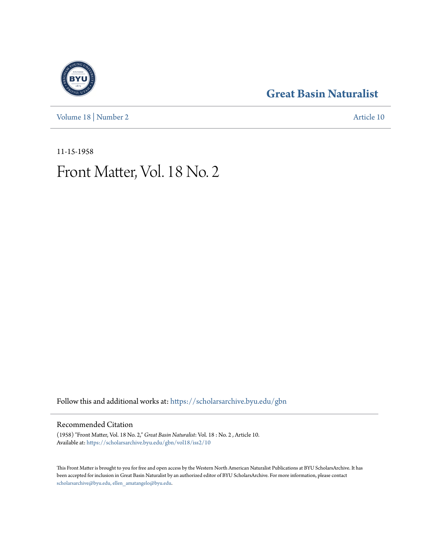[Volume 18](https://scholarsarchive.byu.edu/gbn/vol18?utm_source=scholarsarchive.byu.edu%2Fgbn%2Fvol18%2Fiss2%2F10&utm_medium=PDF&utm_campaign=PDFCoverPages) | [Number 2](https://scholarsarchive.byu.edu/gbn/vol18/iss2?utm_source=scholarsarchive.byu.edu%2Fgbn%2Fvol18%2Fiss2%2F10&utm_medium=PDF&utm_campaign=PDFCoverPages) [Article 10](https://scholarsarchive.byu.edu/gbn/vol18/iss2/10?utm_source=scholarsarchive.byu.edu%2Fgbn%2Fvol18%2Fiss2%2F10&utm_medium=PDF&utm_campaign=PDFCoverPages)

### **[Great Basin Naturalist](https://scholarsarchive.byu.edu/gbn?utm_source=scholarsarchive.byu.edu%2Fgbn%2Fvol18%2Fiss2%2F10&utm_medium=PDF&utm_campaign=PDFCoverPages)**

11-15-1958

## Front Matter, Vol. 18 No. 2

Follow this and additional works at: [https://scholarsarchive.byu.edu/gbn](https://scholarsarchive.byu.edu/gbn?utm_source=scholarsarchive.byu.edu%2Fgbn%2Fvol18%2Fiss2%2F10&utm_medium=PDF&utm_campaign=PDFCoverPages)

#### Recommended Citation

(1958) "Front Matter, Vol. 18 No. 2," *Great Basin Naturalist*: Vol. 18 : No. 2 , Article 10. Available at: [https://scholarsarchive.byu.edu/gbn/vol18/iss2/10](https://scholarsarchive.byu.edu/gbn/vol18/iss2/10?utm_source=scholarsarchive.byu.edu%2Fgbn%2Fvol18%2Fiss2%2F10&utm_medium=PDF&utm_campaign=PDFCoverPages)

This Front Matter is brought to you for free and open access by the Western North American Naturalist Publications at BYU ScholarsArchive. It has been accepted for inclusion in Great Basin Naturalist by an authorized editor of BYU ScholarsArchive. For more information, please contact [scholarsarchive@byu.edu, ellen\\_amatangelo@byu.edu.](mailto:scholarsarchive@byu.edu,%20ellen_amatangelo@byu.edu)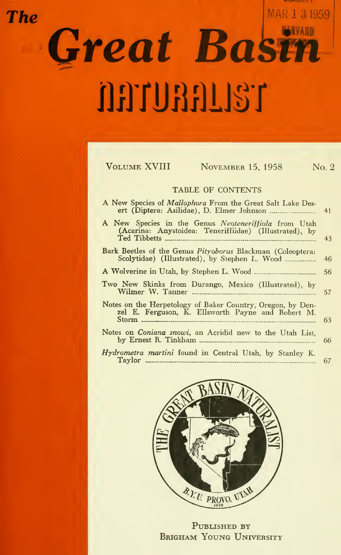# MAR 1 3 1959 **The** Great Basin AATURALIST

| <b>VOLUME XVIII</b><br><b>NOVEMBER 15, 1958</b><br>No. 2                                                           |    |
|--------------------------------------------------------------------------------------------------------------------|----|
| TABLE OF CONTENTS                                                                                                  |    |
| A New Species of Mallophora From the Great Salt Lake Des-<br>41                                                    |    |
| A New Species in the Genus Neoteneriffiola from Utah<br>(Acarina: Anystoidea: Teneriffiidae) (Illustrated), by     | 43 |
| <b>Bark Beetles of the Genus Pityoborus Blackman (Coleoptera:</b><br>Scolytidae) (Illustrated), by Stephen L. Wood | 46 |
|                                                                                                                    | 56 |
| Two New Skinks from Durango, Mexico (Illustrated), by                                                              | 57 |
| Notes on the Herpetology of Baker Country, Oregon, by Den-<br>zel E. Ferguson, K. Ellsworth Payne and Robert M.    | 63 |
| Notes on <i>Coniana snowi</i> , an Acridid new to the Utah List.                                                   | 66 |
| Hydrometra martini found in Central Utah, by Stanley K.                                                            | 67 |



PUBLISHED BY BRIGHAM YOUNG UNIVERSITY